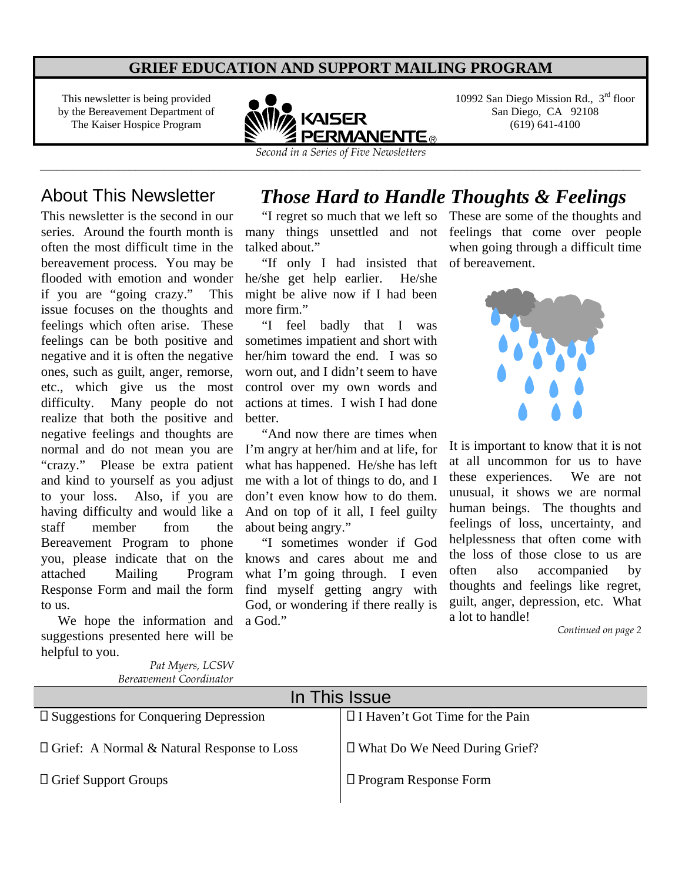### **GRIEF EDUCATION AND SUPPORT MAILING PROGRAM**

This newsletter is being provided by the Bereavement Department of The Kaiser Hospice Program



\_\_\_\_\_\_\_\_\_\_\_\_\_\_\_\_\_\_\_\_\_\_\_\_\_\_\_\_\_\_\_\_\_\_\_\_\_\_\_\_\_\_\_\_\_\_\_\_\_\_\_\_\_\_\_\_\_\_\_\_\_\_\_\_\_\_\_\_\_\_\_\_\_\_\_\_\_\_\_\_\_\_\_\_\_\_\_\_\_\_\_\_\_\_\_\_\_\_\_\_\_\_\_\_\_\_\_

10992 San Diego Mission Rd.,  $3<sup>rd</sup>$  floor San Diego, CA 92108 (619) 641-4100

This newsletter is the second in our series. Around the fourth month is often the most difficult time in the bereavement process. You may be flooded with emotion and wonder if you are "going crazy." This issue focuses on the thoughts and feelings which often arise. These feelings can be both positive and negative and it is often the negative ones, such as guilt, anger, remorse, etc., which give us the most difficulty. Many people do not realize that both the positive and negative feelings and thoughts are normal and do not mean you are "crazy." Please be extra patient and kind to yourself as you adjust to your loss. Also, if you are having difficulty and would like a staff member from the Bereavement Program to phone you, please indicate that on the attached Mailing Program Response Form and mail the form to us.

 We hope the information and suggestions presented here will be helpful to you.

> *Pat Myers, LCSW Bereavement Coordinator*

#### About This Newsletter *Those Hard to Handle Thoughts & Feelings*  These are some of the thoughts and

 "I regret so much that we left so talked about."

 "If only I had insisted that of bereavement. he/she get help earlier. He/she might be alive now if I had been more firm."

 "I feel badly that I was sometimes impatient and short with her/him toward the end. I was so worn out, and I didn't seem to have control over my own words and actions at times. I wish I had done better.

 "And now there are times when I'm angry at her/him and at life, for what has happened. He/she has left me with a lot of things to do, and I don't even know how to do them. And on top of it all, I feel guilty about being angry."

 "I sometimes wonder if God knows and cares about me and what I'm going through. I even find myself getting angry with God, or wondering if there really is a God."

many things unsettled and not feelings that come over people when going through a difficult time



It is important to know that it is not at all uncommon for us to have these experiences. We are not unusual, it shows we are normal human beings. The thoughts and feelings of loss, uncertainty, and helplessness that often come with the loss of those close to us are often also accompanied by thoughts and feelings like regret, guilt, anger, depression, etc. What a lot to handle!

*Continued on page 2*

| In This Issue                                     |                                        |  |  |
|---------------------------------------------------|----------------------------------------|--|--|
| $\square$ Suggestions for Conquering Depression   | $\Box$ I Haven't Got Time for the Pain |  |  |
| $\Box$ Grief: A Normal & Natural Response to Loss | $\Box$ What Do We Need During Grief?   |  |  |
| $\Box$ Grief Support Groups                       | $\Box$ Program Response Form           |  |  |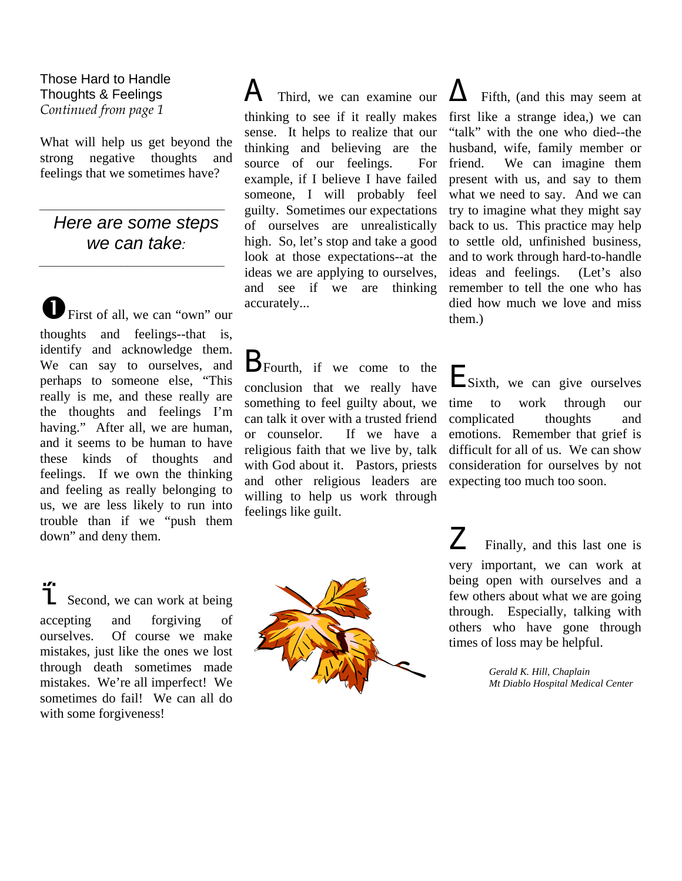Those Hard to Handle Thoughts & Feelings *Continued from page 1* 

What will help us get beyond the strong negative thoughts and feelings that we sometimes have?

## *Here are some steps we can take:*

*\_\_\_\_\_\_\_\_\_\_\_\_\_\_\_\_\_\_\_\_\_\_\_\_\_*

*\_\_\_\_\_\_\_\_\_\_\_\_\_\_\_\_\_\_\_\_\_\_\_\_\_*

First of all, we can "own" our thoughts and feelings--that is, identify and acknowledge them. We can say to ourselves, and perhaps to someone else, "This really is me, and these really are the thoughts and feelings I'm having." After all, we are human, and it seems to be human to have these kinds of thoughts and feelings. If we own the thinking and feeling as really belonging to us, we are less likely to run into trouble than if we "push them down" and deny them.

 Second, we can work at being accepting and forgiving of ourselves. Of course we make mistakes, just like the ones we lost through death sometimes made mistakes. We're all imperfect! We sometimes do fail! We can all do with some forgiveness!

# $\mathbf A$  Third, we can examine our

thinking to see if it really makes sense. It helps to realize that our thinking and believing are the source of our feelings. For example, if I believe I have failed someone, I will probably feel guilty. Sometimes our expectations of ourselves are unrealistically high. So, let's stop and take a good look at those expectations--at the ideas we are applying to ourselves, and see if we are thinking accurately...

**B**Fourth, if we come to the conclusion that we really have something to feel guilty about, we can talk it over with a trusted friend or counselor. If we have a religious faith that we live by, talk with God about it. Pastors, priests and other religious leaders are willing to help us work through feelings like guilt.



 Fifth, (and this may seem at first like a strange idea,) we can "talk" with the one who died--the husband, wife, family member or friend. We can imagine them present with us, and say to them what we need to say. And we can try to imagine what they might say back to us. This practice may help to settle old, unfinished business, and to work through hard-to-handle ideas and feelings. (Let's also remember to tell the one who has died how much we love and miss them.)

Sixth, we can give ourselves time to work through our complicated thoughts and emotions. Remember that grief is difficult for all of us. We can show consideration for ourselves by not expecting too much too soon.

 Finally, and this last one is very important, we can work at being open with ourselves and a few others about what we are going through. Especially, talking with others who have gone through times of loss may be helpful.

> *Gerald K. Hill, Chaplain Mt Diablo Hospital Medical Center*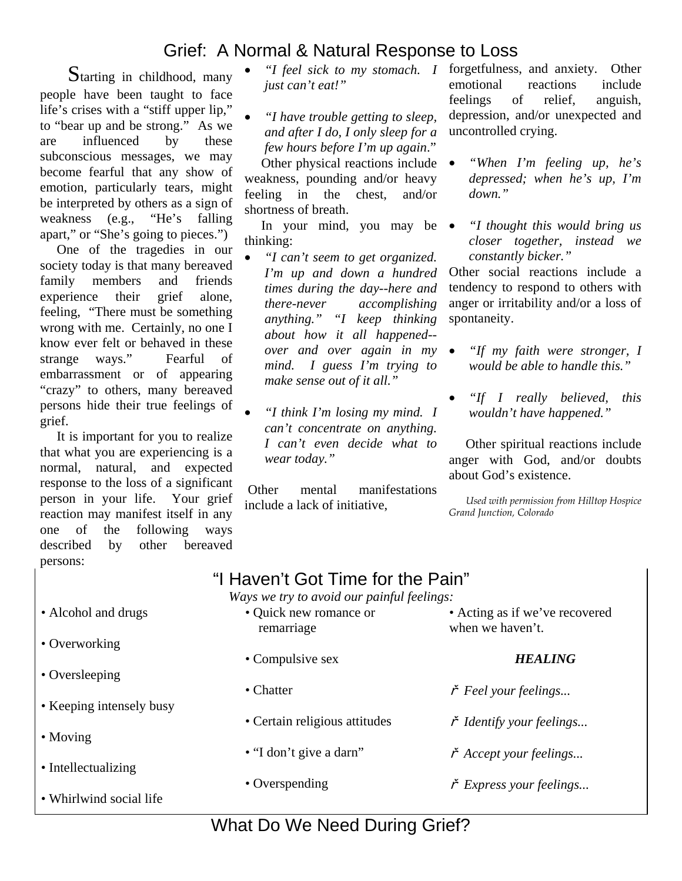# Grief: A Normal & Natural Response to Loss

 Starting in childhood, many people have been taught to face life's crises with a "stiff upper lip," to "bear up and be strong." As we are influenced by these subconscious messages, we may become fearful that any show of emotion, particularly tears, might be interpreted by others as a sign of weakness (e.g., "He's falling apart," or "She's going to pieces.")

 One of the tragedies in our society today is that many bereaved family members and friends experience their grief alone, feeling, "There must be something wrong with me. Certainly, no one I know ever felt or behaved in these strange ways." Fearful of embarrassment or of appearing "crazy" to others, many bereaved persons hide their true feelings of grief.

 It is important for you to realize that what you are experiencing is a normal, natural, and expected response to the loss of a significant person in your life. Your grief reaction may manifest itself in any one of the following ways described by other bereaved persons:

- *just can't eat!"*
- *"I have trouble getting to sleep, and after I do, I only sleep for a few hours before I'm up again*."

Other physical reactions include • weakness, pounding and/or heavy feeling in the chest, and/or shortness of breath.

In your mind, you may be  $\bullet$ thinking:

- *"I can't seem to get organized. I'm up and down a hundred times during the day--here and there-never accomplishing anything." "I keep thinking about how it all happened- over and over again in my mind. I guess I'm trying to make sense out of it all."*
- *"I think I'm losing my mind. I can't concentrate on anything. I can't even decide what to wear today."*

Other mental manifestations include a lack of initiative,

 *"I feel sick to my stomach. I*  forgetfulness, and anxiety. Other emotional reactions include feelings of relief, anguish, depression, and/or unexpected and uncontrolled crying.

- *"When I'm feeling up, he's depressed; when he's up, I'm down."*
- *"I thought this would bring us closer together, instead we constantly bicker."*

Other social reactions include a tendency to respond to others with anger or irritability and/or a loss of spontaneity.

- *"If my faith were stronger, I would be able to handle this."*
- *"If I really believed, this wouldn't have happened."*

 Other spiritual reactions include anger with God, and/or doubts about God's existence.

*Used with permission from Hilltop Hospice Grand Junction, Colorado* 

# "I Haven't Got Time for the Pain"

*Ways we try to avoid our painful feelings:*

| drugs              | • Quick new romance or<br>remarriage | • Acting as if we've recovered<br>when we haven't. |
|--------------------|--------------------------------------|----------------------------------------------------|
| g                  | • Compulsive sex                     | <b>HEALING</b>                                     |
| g                  | • Chatter                            | $\check{r}$ Feel your feelings                     |
| ensely busy        | • Certain religious attitudes        | $\check{r}$ Identify your feelings                 |
|                    | • "I don't give a darn"              | $\check{r}$ Accept your feelings                   |
| zing<br>ocial life | • Overspending                       | $\check{r}$ Express your feelings                  |

• Alcohol and

- Overworking
- Oversleeping
- Keeping inte
- Moving
- $\bullet$  Intellectualiz
- $\bullet$  Whirlwind s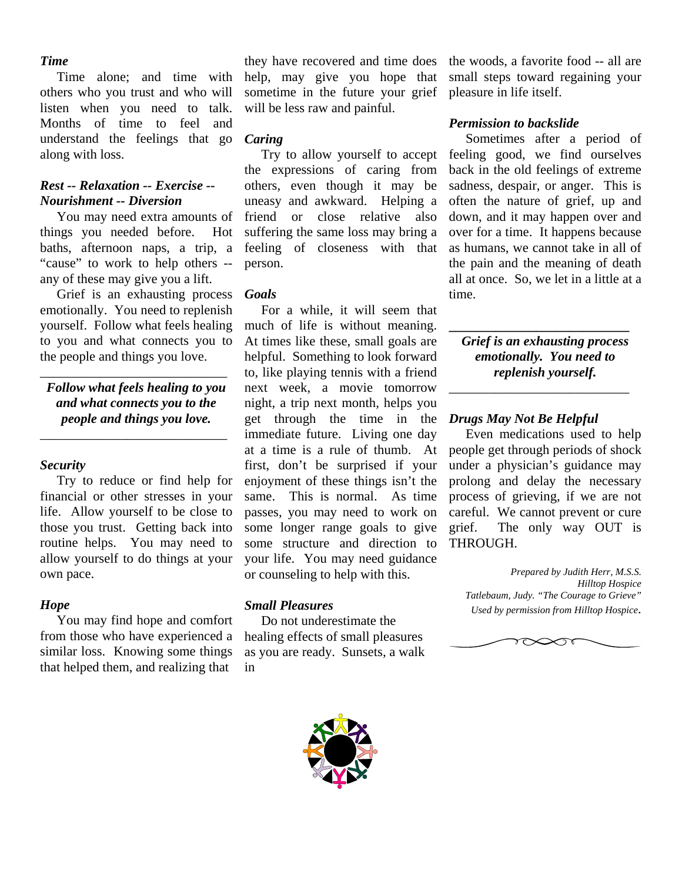#### *Time*

 Time alone; and time with others who you trust and who will listen when you need to talk. Months of time to feel and understand the feelings that go along with loss.

#### *Rest -- Relaxation -- Exercise -- Nourishment -- Diversion*

 You may need extra amounts of things you needed before. Hot baths, afternoon naps, a trip, a "cause" to work to help others - any of these may give you a lift.

 Grief is an exhausting process emotionally. You need to replenish yourself. Follow what feels healing to you and what connects you to the people and things you love.

*Follow what feels healing to you and what connects you to the people and things you love.* 

\_\_\_\_\_\_\_\_\_\_\_\_\_\_\_\_\_\_\_\_\_\_\_\_\_\_\_\_

\_\_\_\_\_\_\_\_\_\_\_\_\_\_\_\_\_\_\_\_\_\_\_\_\_\_\_\_

#### *Security*

 Try to reduce or find help for financial or other stresses in your life. Allow yourself to be close to those you trust. Getting back into routine helps. You may need to allow yourself to do things at your own pace.

#### *Hope*

 You may find hope and comfort from those who have experienced a similar loss. Knowing some things that helped them, and realizing that

they have recovered and time does help, may give you hope that sometime in the future your grief will be less raw and painful.

#### *Caring*

 Try to allow yourself to accept the expressions of caring from others, even though it may be uneasy and awkward. Helping a friend or close relative also suffering the same loss may bring a feeling of closeness with that person.

#### *Goals*

 For a while, it will seem that much of life is without meaning. At times like these, small goals are helpful. Something to look forward to, like playing tennis with a friend next week, a movie tomorrow night, a trip next month, helps you get through the time in the immediate future. Living one day at a time is a rule of thumb. At first, don't be surprised if your enjoyment of these things isn't the same. This is normal. As time passes, you may need to work on some longer range goals to give some structure and direction to your life. You may need guidance or counseling to help with this.

#### *Small Pleasures*

 Do not underestimate the healing effects of small pleasures as you are ready. Sunsets, a walk in



the woods, a favorite food -- all are small steps toward regaining your pleasure in life itself.

#### *Permission to backslide*

 Sometimes after a period of feeling good, we find ourselves back in the old feelings of extreme sadness, despair, or anger. This is often the nature of grief, up and down, and it may happen over and over for a time. It happens because as humans, we cannot take in all of the pain and the meaning of death all at once. So, we let in a little at a time.

*Grief is an exhausting process emotionally. You need to replenish yourself.*

\_\_\_\_\_\_\_\_\_\_\_\_\_\_\_\_\_\_\_\_\_\_\_\_\_\_\_

**\_\_\_\_\_\_\_\_\_\_\_\_\_\_\_\_\_\_\_\_\_\_\_\_\_\_\_**

#### *Drugs May Not Be Helpful*

 Even medications used to help people get through periods of shock under a physician's guidance may prolong and delay the necessary process of grieving, if we are not careful. We cannot prevent or cure grief. The only way OUT is THROUGH.

 *Prepared by Judith Herr, M.S.S. Hilltop Hospice Tatlebaum, Judy. "The Courage to Grieve" Used by permission from Hilltop Hospice*.